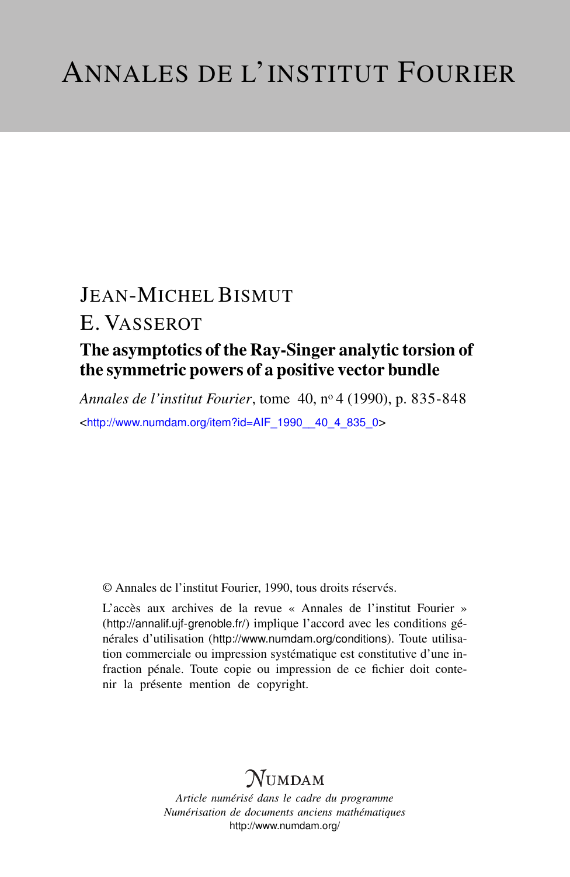# JEAN-MICHEL BISMUT

### E. VASSEROT

### The asymptotics of the Ray-Singer analytic torsion of the symmetric powers of a positive vector bundle

*Annales de l'institut Fourier*, tome 40, n<sup>o</sup> 4 (1990), p. 835-848 <[http://www.numdam.org/item?id=AIF\\_1990\\_\\_40\\_4\\_835\\_0](http://www.numdam.org/item?id=AIF_1990__40_4_835_0)>

© Annales de l'institut Fourier, 1990, tous droits réservés.

L'accès aux archives de la revue « Annales de l'institut Fourier » (<http://annalif.ujf-grenoble.fr/>) implique l'accord avec les conditions générales d'utilisation (<http://www.numdam.org/conditions>). Toute utilisation commerciale ou impression systématique est constitutive d'une infraction pénale. Toute copie ou impression de ce fichier doit contenir la présente mention de copyright.

## NUMDAM

*Article numérisé dans le cadre du programme Numérisation de documents anciens mathématiques* <http://www.numdam.org/>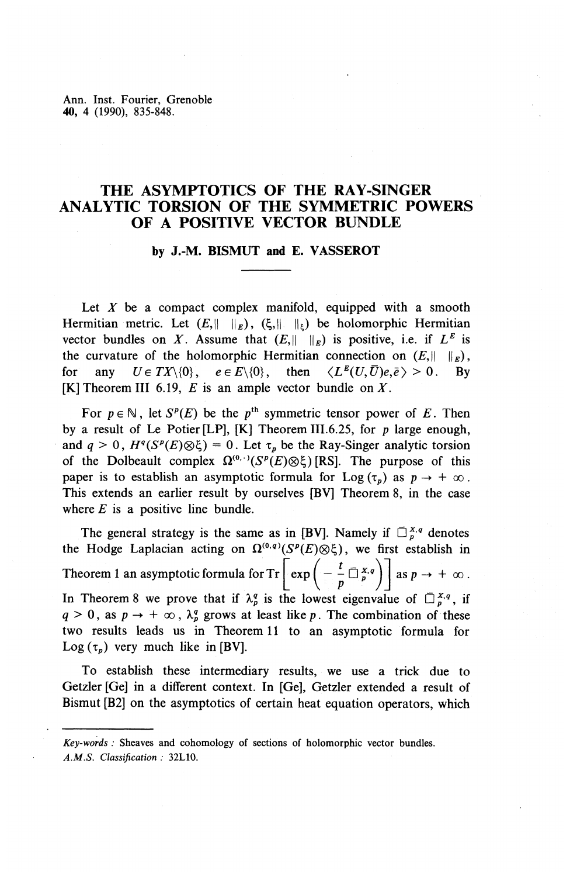Ann. Inst. Fourier, Grenoble **40,** 4 (1990), 835-848.

#### **THE ASYMPTOTICS OF THE RAY-SINGER ANALYTIC TORSION OF THE SYMMETRIC POWERS OF A POSITIVE VECTOR BUNDLE**

#### **by J.-M. BISMUT and E. VASSEROT**

Let X be a compact complex manifold, equipped with a smooth Hermitian metric. Let  $(E, \|\cdot\|_E)$ ,  $(\xi, \|\cdot\|_E)$  be holomorphic Hermitian vector bundles on X. Assume that  $(E, \|\ \|_{E})$  is positive, i.e. if  $L^{E}$  is the curvature of the holomorphic Hermitian connection on  $(E,|| \cdot ||_E)$ . for any  $U \in TX \setminus \{0\}$ ,  $e \in E \setminus \{0\}$ , then  $\langle L^E(U, \overline{U})e, \overline{e} \rangle > 0$ . By  $[K]$  Theorem III 6.19, E is an ample vector bundle on X.

For  $p \in \mathbb{N}$ , let  $S^p(E)$  be the  $p^{\text{th}}$  symmetric tensor power of *E*. Then by a result of Le Potter [LP], [K] Theorem III.6.25, for *p* large enough, and  $q > 0$ ,  $H^q(S^p(E) \otimes \xi) = 0$ . Let  $\tau_p$  be the Ray-Singer analytic torsion of the Dolbeault complex  $\Omega^{(0,\cdot)}(S^p(E)\otimes \xi)$  [RS]. The purpose of this paper is to establish an asymptotic formula for Log  $(\tau_n)$  as  $p \to +\infty$ . This extends an earlier result by ourselves [BV] Theorem 8, in the case where  $E$  is a positive line bundle.

The general strategy is the same as in [BV]. Namely if  $\overline{O}^{X,q}_p$  denotes the Hodge Laplacian acting on  $\Omega^{(0,q)}(S^p(E)\otimes \xi)$ , we first establish in Theorem 1 an asymptotic formula for  $Tr \left[ exp \left( -\frac{L}{n}\overline{Q}_{n}^{X,q} \right) \right]$  as  $p \to +\infty$  $\left[ \exp \left( -\frac{t}{p} \bar{\Box}^{x,q}_{p} \right) \right]$ <br>the lowest eigenvalue In Theorem 8 we prove that if  $\lambda_p^q$  is the lowest eigenvalue of  $\Box_p^{x,q}$ , if  $q > 0$ , as  $p \to +\infty$ ,  $\lambda_n^q$  grows at least like p. The combination of these two results leads us in Theorem 11 to an asymptotic formula for Log  $(\tau_p)$  very much like in [BV].

To establish these intermediary results, we use a trick due to Getzler [Ge] in a different context. In [Ge], Getzler extended a result of Bismut [B2] on the asymptotics of certain heat equation operators, which

*Key-words :* Sheaves and cohomology of sections of holomorphic vector bundles. *A.M.S. Classification :* 32L10.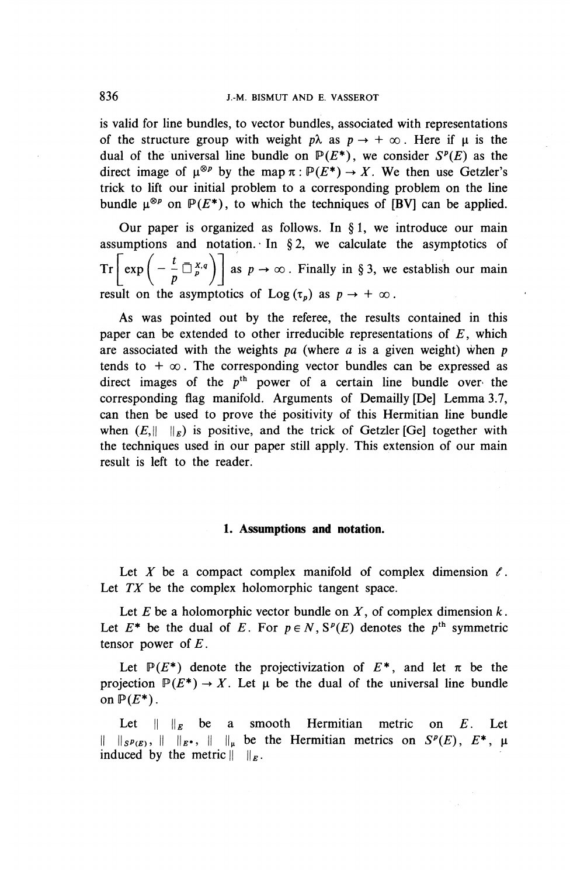#### 836 J.-M. BISMUT AND E. VASSEROT

is valid for line bundles, to vector bundles, associated with representations of the structure group with weight  $p\lambda$  as  $p \rightarrow +\infty$ . Here if  $\mu$  is the dual of the universal line bundle on  $P(E^*)$ , we consider  $S^p(E)$  as the direct image of  $\mu^{\otimes p}$  by the map  $\pi : \mathbb{P}(E^*) \to X$ . We then use Getzler's direct image of  $\mu^{\otimes p}$  by the map  $\pi : \mathbb{P}(E^*) \to X$ . We then use Getzler's trick to lift our initial problem to a corresponding problem on the line bundle  $\mu^{\otimes p}$  on  $\mathbb{P}(E^*)$ , to which the techniques of [BV] can be applied.

Our paper is organized as follows. In  $\S 1$ , we introduce our main assumptions and notation. In  $\S 2$ , we calculate the asymptotics of  $Tr \left[ exp \left( -\frac{t}{n} \Box_p^{x,q} \right) \right]$  as  $p \to \infty$ . Finally in § 3, we establish our main  $\lfloor \frac{\exp(\frac{p}{p}-p)}{p}\rfloor$ result on the asymptotics of Log  $(\tau_p)$  as  $p \to +\infty$ .

As was pointed out by the referee, the results contained in this paper can be extended to other irreducible representations of *E,* which are associated with the weights *pa* (where a is a given weight) when*<sup>p</sup>* tends to  $+\infty$ . The corresponding vector bundles can be expressed as direct images of the  $p<sup>th</sup>$  power of a certain line bundle over the corresponding flag manifold. Arguments of Demailly [De] Lemma 3.7, can then be used to prove the positivity of this Hermitian line bundle when  $(E,|| \cdot ||_E)$  is positive, and the trick of Getzler [Ge] together with the techniques used in our paper still apply. This extension of our main result is left to the reader.

#### **1. Assumptions and notation.**

Let X be a compact complex manifold of complex dimension  $\ell$ . Let *TX* be the complex holomorphic tangent space.

Let  $E$  be a holomorphic vector bundle on  $X$ , of complex dimension  $k$ . Let  $E^*$  be the dual of E. For  $p \in N$ ,  $S^p(E)$  denotes the  $p^{\text{th}}$  symmetric tensor power *of E.*

Let  $P(E^*)$  denote the projectivization of  $E^*$ , and let  $\pi$  be the projection  $\mathbb{P}(E^*) \to X$ . Let  $\mu$  be the dual of the universal line bundle on  $\mathbb{P}(E^*)$ .

Let  $\|\cdot\|_E$  be a smooth Hermitian metric on E. Let  $\|\cdot\|_{S^p(E)}, \|\cdot\|_{E^*}, \|\cdot\|_{\mu}$  be the Hermitian metrics on  $S^p(E), E^*$ ,  $\mu$ induced by the metric  $|| \cdot ||_E$ .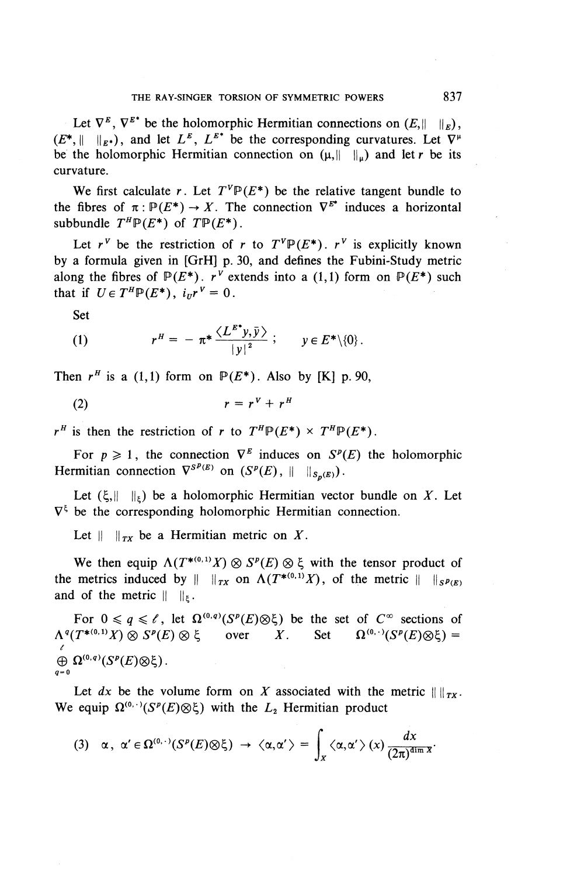Let  $\nabla^E$ ,  $\nabla^{E^*}$  be the holomorphic Hermitian connections on  $(E, \|\cdot\|_E)$ ,  $(E^*, \| \|_{E^*})$ , and let  $L^E$ ,  $L^{E^*}$  be the corresponding curvatures. Let  $\nabla^{\mu}$ be the holomorphic Hermitian connection on  $(\mu, \|\tilde{\mu}\|_{\mu})$  and let r be its curvature.

We first calculate r. Let  $T^{\vee}P(E^*)$  be the relative tangent bundle to the fibres of  $\pi : \mathbb{P}(E^*) \to X$ . The connection  $\nabla^{E^*}$  induces a horizontal subbundle  $T^H P(E^*)$  of  $T P(E^*)$ .

Let  $r^v$  be the restriction of r to  $T^v \mathbb{P}(E^*)$ .  $r^v$  is explicitly known by a formula given in [GrH] p. 30, and defines the Fubini-Study metric along the fibres of  $P(E^*)$ .  $r^{\nu}$  extends into a (1,1) form on  $P(E^*)$  such that if  $U \in T^H \mathbb{P}(E^*)$ ,  $i_{tt} r^V = 0$ .

Set

(1) 
$$
r^H = - \pi^* \frac{\langle L^{E^*} y, \bar{y} \rangle}{|y|^2}; \quad y \in E^* \setminus \{0\}.
$$

Then  $r^H$  is a (1,1) form on  $\mathbb{P}(E^*)$ . Also by [K] p. 90,

$$
(2) \t\t\t r = r^V + r^H
$$

 $r^H$  is then the restriction of *r* to  $T^H \mathbb{P}(E^*) \times T^H \mathbb{P}(E^*)$ .

For  $p \ge 1$ , the connection  $\nabla^E$  induces on  $S^P(E)$  the holomorphic Hermitian connection  $\nabla^{S^p(E)}$  on  $(S^p(E), || ||_{S_p(E)})$ .

Let  $(\xi, \|\cdot\|_{\xi})$  be a holomorphic Hermitian vector bundle on X. Let  $\nabla^{\xi}$  be the corresponding holomorphic Hermitian connection.

Let  $|| \cdot ||_{TX}$  be a Hermitian metric on X.

We then equip  $\Lambda(T^{*(0,1)}X) \otimes S^p(E) \otimes \xi$  with the tensor product of the metrics induced by  $|| \cdot ||_{TX}$  on  $\Lambda(T^{*(0,1)}X)$ , of the metric  $|| \cdot ||_{S^{p}(E)}$ and of the metric  $|| \ ||_F$ .

For  $0 \le q \le \ell$ , let  $\Omega^{(0,q)}(S^p(E)\otimes \xi)$  be the set of  $C^{\infty}$  sections of For  $0 \le q \le \ell$ , let  $\Omega^{\kappa_1\kappa_2}(S^2(E) \otimes \zeta)$  be the set of  $C^{\infty}$  sections of  $\Lambda^q(T^{*(0,1)}X) \otimes S^p(E) \otimes \zeta$  over X. Set  $\Omega^{(0,\cdot)}(S^p(E) \otimes \zeta) =$  $\ell$  $\oplus \Omega^{(0,q)}(S^p(E)\otimes \xi)$ .  $q=0$ 

Let  $dx$  be the volume form on *X* associated with the metric  $|| ||_{Tx}$ . We equip  $\Omega^{(0,\cdot)}(S^p(E)\otimes \xi)$  with the  $L_2$  Hermitian product

$$
(3) \quad \alpha \, , \ \alpha' \in \Omega^{(0,\cdot)}(S^p(E) \otimes \xi) \ \rightarrow \ \langle \alpha, \alpha' \rangle \ = \ \int_X \langle \alpha, \alpha' \rangle \ (x) \, \frac{dx}{(2\pi)^{\dim x}}.
$$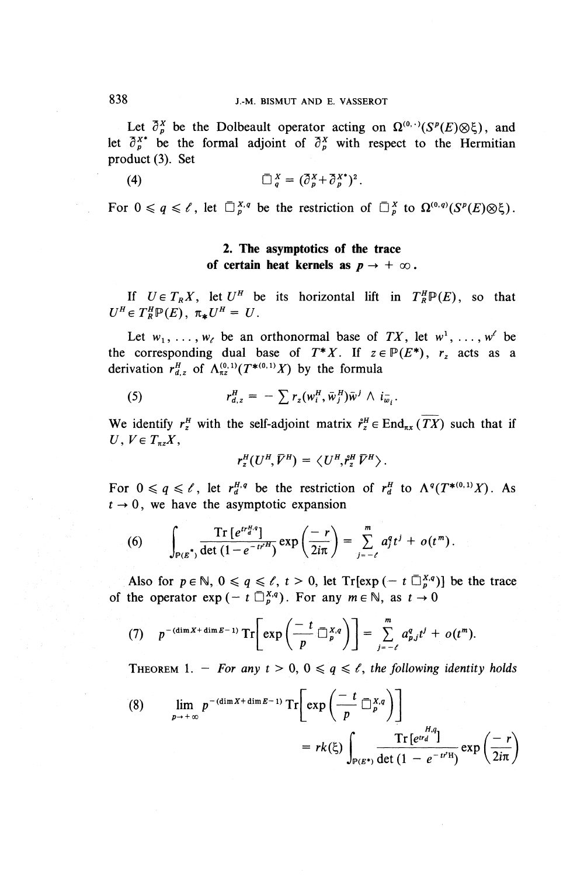Let  $\bar{\partial}_{\rho}^{X}$  be the Dolbeault operator acting on  $\Omega^{(0,\cdot)}(S^{\rho}(E)\otimes \xi)$ , and let  $\bar{\partial}_n^{x*}$  be the formal adjoint of  $\bar{\partial}_n^x$  with respect to the Hermitian product (3). Set

$$
\overline{\Box}^X_{a} = (\overline{\partial}^X_{a} + \overline{\partial}^{X*}_{a})^2.
$$

For  $0 \leq q \leq \ell$ , let  $\overline{\Box}_{p}^{X,q}$  be the restriction of  $\overline{\Box}_{p}^{X}$  to  $\Omega^{(0,q)}(S^{p}(E)\otimes \xi)$ .

#### **2. The asymptotics of the trace of certain heat kernels as**  $p \rightarrow +\infty$ .

If  $U \in T_R X$ , let  $U^H$  be its horizontal lift in  $T^H_R \mathbb{P}(E)$ , so that  $U^H \in T^H_{B} \mathbb{P}(E)$ ,  $\pi_* U^H = U$ .

Let  $w_1, \ldots, w_\ell$  be an orthonormal base of TX, let  $w^1, \ldots, w^\ell$  be the corresponding dual base of  $T^*X$ . If  $z \in \mathbb{P}(E^*)$ ,  $r_z$  acts as a derivation  $r_d^H$ , of  $\Lambda_{\pi}^{(0,1)}(T^{*(0,1)}X)$  by the formula

(5) 
$$
r_{d,z}^H = -\sum r_z(w_i^H, \bar{w}_j^H)\bar{w}^j \wedge i_{\bar{w}_i}.
$$

We identify  $r^H_z$  with the self-adjoint matrix  $\mathring{r}^H_z \in \text{End}_{\pi_X}(\overline{TX})$  such that if  $U, V \in T_{\pi z} X$ ,

$$
r_z^H(U^H,\bar{V}^H) = \langle U^H,\mathring{r}_z^H,\bar{V}^H \rangle.
$$

For  $0 \leq q \leq \ell$ , let  $r_d^{H,q}$  be the restriction of  $r_d^H$  to  $\Lambda^q(T^{*(0,1)}X)$ . As  $t \rightarrow 0$ , we have the asymptotic expansion

(6) 
$$
\int_{P(E^*)} \frac{\text{Tr}\left[e^{tr_{d}^{H,q}}\right]}{\det\left(1-e^{-tr^{H}}\right)} \exp\left(\frac{-r}{2i\pi}\right) = \sum_{j=-\ell}^{m} a_j^q t^j + o(t^m).
$$

Also for  $p \in \mathbb{N}$ ,  $0 \le q \le \ell$ ,  $t > 0$ , let Tr[exp (- t  $\overline{\mathbb{D}}_p^{X,q}$ )] be the trace of the operator  $\exp(-t \prod_{p}^{X,q})$ . For any  $m \in \mathbb{N}$ , as  $t \to 0$ 

(7) 
$$
p^{-(\dim X + \dim E - 1)} \operatorname{Tr} \left[ \exp \left( \frac{-t}{p} \mathbb{Z}_p^{X,q} \right) \right] = \sum_{j=-\ell}^m a_{p,j}^q t^j + o(t^m).
$$

THEOREM 1. - *For any t* > 0, 0  $\leq$  *q*  $\leq$  *t*, the following identity holds

(8) 
$$
\lim_{p \to +\infty} p^{-(\dim X + \dim E - 1)} \operatorname{Tr} \left[ \exp \left( \frac{-t}{p} \overline{\square}_{p}^{X,q} \right) \right]
$$

$$
= rk(\xi) \int_{P(E^*)} \frac{\operatorname{Tr} \left[ e^{rt} \right]}{\det (1 - e^{-t^{2}H})} \exp \left( \frac{-r}{2i\pi} \right)
$$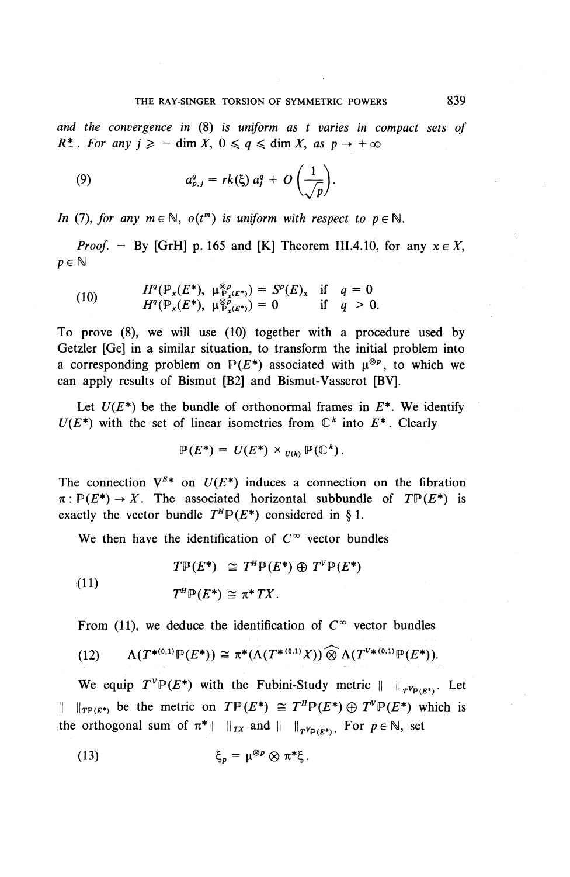*and the convergence in* (8) is *uniform as t varies in compact sets of R*<sup>\*</sup>*x*. *For any*  $j \ge -$  dim *X*,  $0 \le q \le \dim X$ , as  $p \to +\infty$ 

(9) 
$$
a_{p,j}^q = rk(\xi) a_j^q + O\left(\frac{1}{\sqrt{p}}\right).
$$

*In* (7), for any  $m \in \mathbb{N}$ ,  $o(t^m)$  is uniform with respect to  $p \in \mathbb{N}$ .

*Proof.* - By [GrH] p. 165 and [K] Theorem III.4.10, for any  $x \in X$  $p \in \mathbb{N}$ 

(10) 
$$
H^{q}(\mathbb{P}_{x}(E^{\ast}), \mu_{\mathbb{P}_{x}(E^{\ast})}^{\otimes p}) = S^{p}(E)_{x} \text{ if } q = 0
$$

$$
H^{q}(\mathbb{P}_{x}(E^{\ast}), \mu_{\mathbb{P}_{x}(E^{\ast})}^{\otimes p}) = 0 \text{ if } q > 0.
$$

To prove (8), we will use (10) together with a procedure used by Getzler [Ge] in a similar situation, to transform the initial problem into Getzler [Ge] in a similar situation, to transform the initial problem into a corresponding problem on  $P(E^*)$  associated with  $\mu^{\otimes p}$ , to which we can apply results of Bismut [B2] and Bismut-Vasserot [BV].

Let  $U(E^*)$  be the bundle of orthonormal frames in  $E^*$ . We identify  $U(E^*)$  with the set of linear isometries from  $\mathbb{C}^k$  into  $E^*$ . Clearly

$$
\mathbb{P}(E^*) = U(E^*) \times_{U(k)} \mathbb{P}(\mathbb{C}^*)
$$

The connection  $\nabla^{E*}$  on  $U(E^*)$  induces a connection on the fibration  $\pi: \mathbb{P}(E^*) \to X$ . The associated horizontal subbundle of  $T\mathbb{P}(E^*)$  is exactly the vector bundle  $T^H \mathbb{P}(E^*)$  considered in §1.

We then have the identification of  $C^{\infty}$  vector bundles

(11) 
$$
T^{\mathbb{P}}(E^*) \cong T^{\mathbb{P}}\mathbb{P}(E^*) \oplus T^{\mathbb{V}}\mathbb{P}(E^*)
$$

$$
T^{\mathbb{P}}\mathbb{P}(E^*) \cong \pi^*TX.
$$

From (11), we deduce the identification of  $C^{\infty}$  vector bundles

(12) 
$$
\Lambda(T^{*(0,1)}\mathbb{P}(E^*)) \cong \pi^*(\Lambda(T^{*(0,1)}X)) \widehat{\otimes} \Lambda(T^{V*(0,1)}\mathbb{P}(E^*)).
$$

We equip  $T^{\nu} \mathbb{P}(E^*)$  with the Fubini-Study metric  $|| \cdot ||_{T^{\nu} \mathbb{P}(E^*)}$ . Let If  $\lim_{x \to a} f^* \in \mathcal{F}$  be the metric on  $T \mathbb{P}(E^*) \cong T^H \mathbb{P}(E^*) \oplus T^V \mathbb{P}(E^*)$  which the orthogonal sum of  $\pi^* \|\cdot\|_{TX}$  and  $\|\cdot\|_{TV_{P(E^*)}}$ . For  $p \in \mathbb{N}$ , set

(13) 
$$
\xi_p = \mu^{\otimes p} \otimes \pi^* \xi.
$$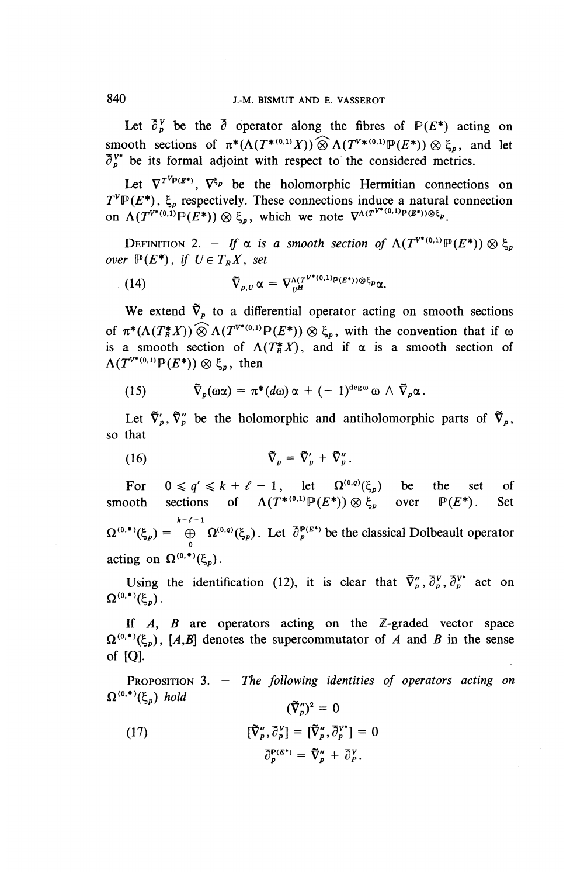Let  $\partial_{\nu}^V$  be the  $\partial$  operator along the fibres of  $P(E^*)$  acting on smooth sections of  $\pi^*(\Lambda(T^{*(0,1)}X)) \widehat{\otimes} \Lambda(T^{V*(0,1)}\mathbb{P}(E^*)) \otimes \xi_n$ , and let  $\partial_{n}^{\gamma*}$  be its formal adjoint with respect to the considered metrics.

Let  $\nabla^{T^{\gamma} p_{(\mathcal{E}^*)}}$ ,  $\nabla^{\xi_p}$  be the holomorphic Hermitian connections on  $T^V \mathbb{P}(E^*)$ ,  $\xi_p$  respectively. These connections induce a natural connection  $T^{\nu}P(E^*)$ ,  $\xi_p$  respectively. These connections induce a natural<br>on  $\Lambda(T^{\nu^*(0,1)}P(E^*))\otimes \xi_p$ , which we note  $\nabla^{\Lambda(T^{\nu^*(0,1)}P(E^*))\otimes \xi_p}$ .

DEFINITION 2. - If  $\alpha$  is a smooth section of  $\Lambda(T^{V^*(0,1)}\mathbb{P}(E^*))\otimes \xi$ over  $\mathbb{P}(E^*)$ , if  $U \in T_{R}X$ , set

(14) 
$$
\tilde{\nabla}_{p,U} \alpha = \nabla^{\Lambda(T^{V^*(0,1)p}(E^*))\otimes \xi_p} \alpha.
$$

We extend  $\tilde{\nabla}_p$  to a differential operator acting on smooth sections of  $\pi^*(\Lambda(T_K^*X)) \widehat{\otimes} \Lambda(T^{V^*(0,1)}\mathbb{P}(E^*)) \otimes \xi_p$ , with the convention that if  $\omega$ is a smooth section of  $\Lambda(T^*_\mathbb{R} X)$ , and if  $\alpha$  is a smooth section of  $\Lambda(T^{V^{*}(0,1)}\mathbb{P}(E^{*}))\otimes \xi_n$ , then

(15) 
$$
\tilde{\nabla}_p(\omega \alpha) = \pi^*(d\omega) \alpha + (-1)^{\deg \omega} \omega \wedge \tilde{\nabla}_p \alpha.
$$

Let  $\tilde{\nabla}'_p$ ,  $\tilde{\nabla}''_p$  be the holomorphic and antiholomorphic parts of  $\tilde{\nabla}_p$ , so that

(16) 
$$
\widetilde{\nabla}_{p} = \widetilde{\nabla}'_{p} + \widetilde{\nabla}''_{p}.
$$

For  $0 \le q' \le k + \ell - 1$ , let  $\Omega^{(0,q)}(\xi_p)$  be the set of **s** For  $0 \leq q \leq k + \ell - 1$ , let  $\Omega^{(1)}(S_p)$  be the set of  $\Lambda(T^{*(0,1)}\mathbb{P}(E^*)) \otimes \xi_p$  over  $\mathbb{P}(E^*)$ . Set  $k+1$  $\Omega^{(0, \bullet)}(\xi_p) = \bigoplus_{p=0}^{n+r-1} \Omega^{(0, q)}(\xi_p)$ . Let  $\partial_p^{p(\mathcal{E}^*)}$  be the classical Dolbeault operator acting on  $\Omega^{(0, \bullet)}(\xi_n)$ .

Using the identification (12), it is clear that  $\tilde{\nabla}^n_p, \tilde{\partial}^v_p, \tilde{\partial}^{v^*}_p$  act on  $\Omega^{(0, \bullet)}(\xi_p)$ .

If *A, B* are operators acting on the Z-graded vector space  $\Omega^{(0, \bullet)}(\xi_n)$ , [A,B] denotes the supercommutator of A and B in the sense of [Q].

PROPOSITION 3. — *The following identities of operators acting on*  $\Omega^{(0, \bullet)}(\xi_p)$  hold  $(\tilde{\nabla}_n'')^2 = 0$ 

(17) 
$$
[\tilde{\nabla}_{p}^{\prime\prime}, \bar{\partial}_{p}^{V}] = [\tilde{\nabla}_{p}^{\prime\prime}, \bar{\partial}_{p}^{V^{*}}] = 0
$$

$$
\bar{\partial}_{p}^{\rho}{}^{(E^{*})} = \tilde{\nabla}_{p}^{\prime\prime} + \bar{\partial}_{p}^{V}.
$$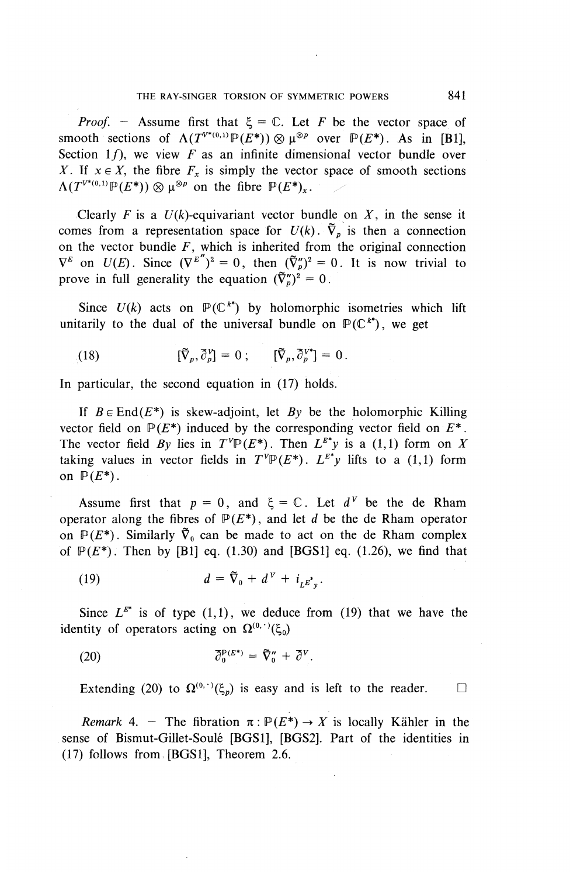*Proof.* – Assume first that  $\xi = \mathbb{C}$ . Let *F* be the vector space of smooth sections of  $\Lambda(T^{V^{*}(0,1)}\mathbb{P}(E^*))\otimes \mu^{\otimes p}$  over  $\mathbb{P}(E^*)$ . As in [B1], Section  $1f$ , we view  $F$  as an infinite dimensional vector bundle over Section 1*j*), we view *F* as an infinite dimensional vector bundle over *X*. If  $x \in X$ , the fibre  $F_x$  is simply the vector space of smooth sections  $\Lambda(T^{V^*(0,1)} \mathbb{P}(E^*)) \otimes \mu^{\otimes p}$  on the fibre  $\mathbb{P}(E^*)_x$ .

Clearly F is a  $U(k)$ -equivariant vector bundle on X, in the sense it comes from a representation space for  $U(k)$ .  $\tilde{\nabla}_p$  is then a connection on the vector bundle  $F$ , which is inherited from the original connection  $\nabla^E$  on  $U(E)$ . Since  $(\nabla^{E''})^2 = 0$ , then  $(\tilde{\nabla}^n)^2 = 0$ . It is now trivial to prove in full generality the equation  $(\tilde{\nabla}_{p}^{"})^2 = 0$ .

Since  $U(k)$  acts on  $\mathbb{P}(\mathbb{C}^{k^*})$  by holomorphic isometries which lift unitarily to the dual of the universal bundle on  $\mathbb{P}(\mathbb{C}^{k^*})$ , we get

(18) 
$$
[\widetilde{\nabla}_p, \widetilde{\partial}_p^V] = 0; \qquad [\widetilde{\nabla}_p, \widetilde{\partial}_p^{V^*}] = 0.
$$

In particular, the second equation in (17) holds.

If  $B \in End(E^*)$  is skew-adjoint, let By be the holomorphic Killing vector field on  $\mathbb{P}(E^*)$  induced by the corresponding vector field on  $E^*$ . The vector field By lies in  $T^V \mathbb{P}(E^*)$ . Then  $L^{E^*}y$  is a (1,1) form on X taking values in vector fields in  $T^{\nu}P(E^*)$ .  $L^{E^*}v$  lifts to a (1,1) form on  $P(E^*)$ .

Assume first that  $p = 0$ , and  $\xi = \mathbb{C}$ . Let  $d^V$  be the de Rham operator along the fibres of  $P(E^*)$ , and let *d* be the de Rham operator on  $\mathbb{P}(E^*)$ . Similarly  $\tilde{\nabla}_0$  can be made to act on the de Rham complex of  $\mathbb{P}(E^*)$ . Then by [B1] eq. (1.30) and [BGS1] eq. (1.26), we find that

(19)  $d = \tilde{\nabla}_0 + d^V + i_{iE^*}$ 

Since  $L^{E^*}$  is of type (1,1), we deduce from (19) that we have the identity of operators acting on  $\Omega^{(0, \cdot)}(\xi_0)$ 

(20) 
$$
\overline{\partial}_0^{P(E^*)} = \overline{\nabla}_0'' + \overline{\partial}^V.
$$

Extending (20) to  $\Omega^{(0, \cdot)}(\xi_p)$  is easy and is left to the reader.  $\square$ 

*Remark* 4. - The fibration  $\pi: \mathbb{P}(E^*) \to X$  is locally Kähler in the sense of Bismut-Gillet-Soule [BGS1], **[BGS2].** Part of the identities in (17) follows from [BGS1], Theorem 2.6.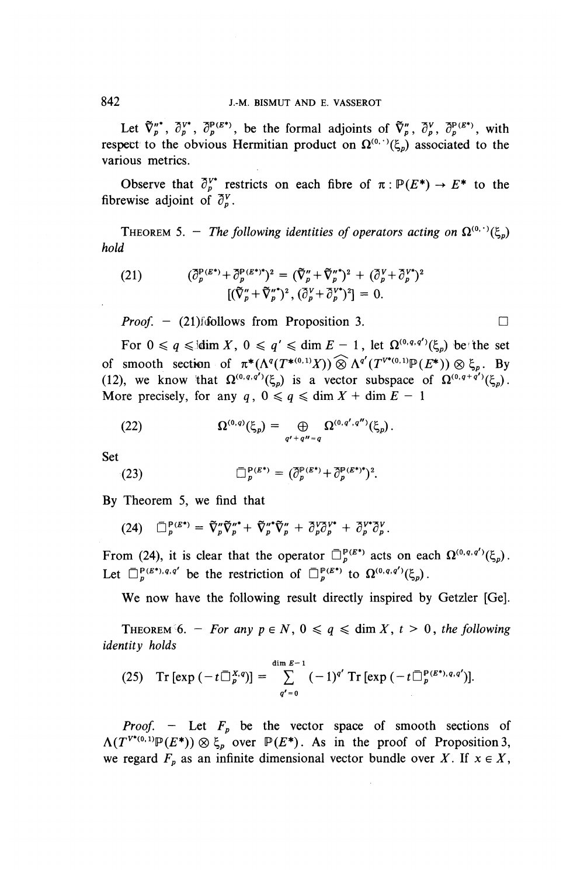Let  $\tilde{\nabla}_p''^*$ ,  $\partial_p^{V^*}$ ,  $\partial_p^{P(E^*)}$ , be the formal adjoints of  $\tilde{\nabla}_p''$ ,  $\partial_p^{V}$ ,  $\partial_p^{P(E^*)}$ , with respect to the obvious Hermitian product on  $\Omega^{(0, \cdot)}(\xi_n)$  associated to the various metrics.

Observe that  $\partial_{n}^{V^*}$  restricts on each fibre of  $\pi : P(E^*) \to E^*$  to the fibrewise adjoint of  $\partial_{n}^{V}$ .

**THEOREM 5.** – *The following identities of operators acting on*  $\Omega^{(0, \cdot)}(\xi_n)$ *hold*

(21) 
$$
(\overline{\partial}_p^{P(E^*)} + \overline{\partial}_p^{P(E^*)^*})^2 = (\overline{\nabla}_p'' + \overline{\nabla}_p''^*)^2 + (\overline{\partial}_p^V + \overline{\partial}_p^{V^*})^2 [(\overline{\nabla}_p'' + \overline{\nabla}_p'')^2, (\overline{\partial}_p^V + \overline{\partial}_p^{V^*})^2] = 0.
$$

*Proof.*  $-$  (21) follows from Proposition 3.

For  $0 \le q \le \dim X$ ,  $0 \le q' \le \dim E - 1$ , let  $\Omega^{(0,q,q')}(\xi_p)$  be the set of smooth section of  $\pi^*(\Lambda^q(T^{*(0,1)}X)) \widehat{\otimes} \Lambda^{q'}(T^{V^*(0,1)}\mathbb{P}(E^*)) \otimes \xi_n$ . By (12), we know that  $\Omega^{(0,q,q')}(\xi_p)$  is a vector subspace of  $\Omega^{(0,q+q')}(\xi_p)$ . More precisely, for any  $q$ ,  $0 \le q \le \dim X + \dim E - 1$ 

(22) 
$$
\Omega^{(0,q)}(\xi_p) = \bigoplus_{q'+q''=q} \Omega^{(0,q',q'')}(\xi_p).
$$

Set

(23) 
$$
\overline{\Box}_{p}^{\mathbf{P}(E^*)} = (\overline{\partial}_{p}^{\mathbf{P}(E^*)} + \overline{\partial}_{p}^{\mathbf{P}(E^*)^*})^2.
$$

By Theorem 5, we find that

(24) 
$$
\Box_p^{P(E^*)} = \tilde{\nabla}_p'' \tilde{\nabla}_p''^* + \tilde{\nabla}_p''^* \tilde{\nabla}_p'' + \partial_p^V \partial_p^{V^*} + \partial_p^{V^*} \partial_p^V.
$$

From (24), it is clear that the operator  $\bar{\Box}_p^{P(E^*)}$  acts on each  $\Omega^{(0,q,q')}(\xi_p)$ . Let  $\bar{\Box}_p^{\mathbf{P}(E^*)}\cdot q,q'$  be the restriction of  $\bar{\Box}_p^{\mathbf{P}(E^*)}$  to  $\Omega^{(0,q,q')}(\xi_p)$ .

**We** now have the following result directly inspired by Getzler [Ge].

THEOREM 6. - *For any*  $p \in N$ ,  $0 \leq q \leq \dim X$ ,  $t > 0$ , the following *identity holds*

(25) Tr 
$$
[\exp(-t \overline{\bigcup_{p}^{X,q}})] = \sum_{q'=0}^{\dim E-1} (-1)^{q'} \operatorname{Tr} [\exp(-t \overline{\bigcup_{p}^{p(E^*),q,q'}})].
$$

*Proof.* – Let  $F_p$  be the vector space of smooth sections of  $\Lambda(T^{V^{*}(0,1)}\mathbb{P}(E^{*}))\otimes \xi_p$  over  $\mathbb{P}(E^{*})$ . As in the proof of Proposition 3, we regard  $F_p$  as an infinite dimensional vector bundle over X. If  $x \in X$ ,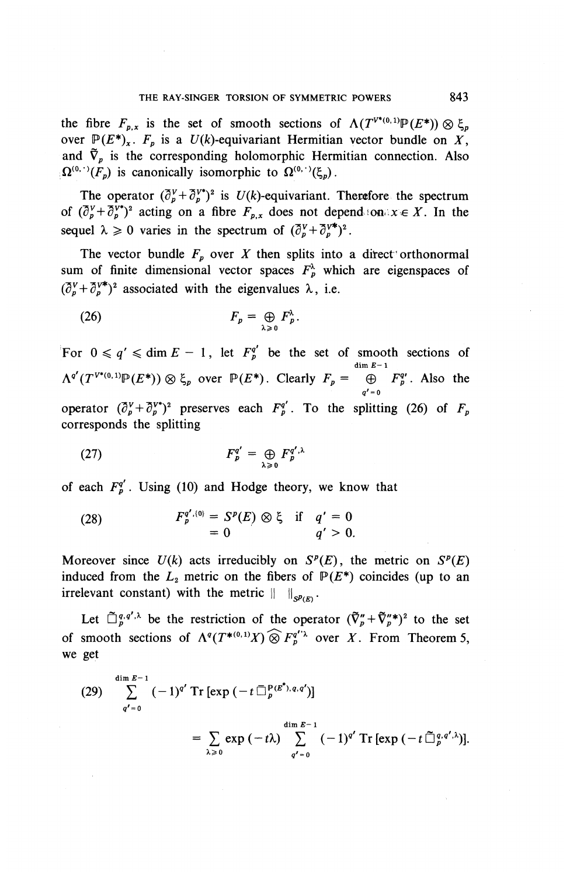the fibre *F* is the set of smooth sections of  $A(T^{V^*(0,1)} \mathbb{P}(F^*))$   $\otimes$   $\beta$ over  $\mathbb{P}(E^*)$ <sub>x</sub>.  $F_p$  is a  $U(k)$ -equivariant Hermitian vector bundle on X, and  $\tilde{\nabla}_v$  is the corresponding holomorphic Hermitian connection. Also  $\Omega^{(0,\cdot)}(F_p)$  is canonically isomorphic to  $\Omega^{(0,\cdot)}(\xi_p)$ .

The operator  $(\overline{\partial}_x^V + \overline{\partial}_y^V)^2$  is  $U(k)$ -equivariant. Therefore the spectrum of  $(\bar{\partial}_{p}^V + \bar{\partial}_{p}^V)^2$  acting on a fibre  $F_{p,x}$  does not dependion.xe X. In the sequel  $\lambda > 0$  varies in the spectrum of  $(\overline{\partial}^y + \overline{\partial}^{y*})^2$ 

The vector bundle  $F_p$  over *X* then splits into a direct orthonormal sum of finite dimensional vector spaces  $F_p^{\lambda}$  which are eigenspaces of  $(\bar{\partial}^V + \bar{\partial}^{V*})^2$  associated with the eigenvalues  $\lambda$ , i.e.

$$
F_p = \bigoplus_{\lambda \geq 0} F_p^{\lambda}
$$

For  $0 \le q' \le \dim E - 1$ , let  $F_p^{q'}$  be the set of smooth sections of  $\Lambda^{q}(T^{V^{*}(0,1)}\mathbb{P}(E^*))\otimes \mathcal{E}$ , over  $\mathbb{P}(E^*)$ . Clearly  $F_n = \bigoplus_{k=0}^{\dim E-1} F_n^{q'}$ . Also the  $\overline{a'}$ operator  $(\partial_y^V + \partial_y^{V^*})^2$  preserves each  $F^{\circ}$ <sup>'</sup>. To the splitting (26) of F corresponds the splitting

$$
F_p^{q'} = \bigoplus_{\lambda \geq 0} F_p^{q',\lambda}
$$

of each  $F_p^{q'}$ . Using (10) and Hodge theory, we know that

(28) 
$$
F_p^{q', (0)} = S^p(E) \otimes \xi \text{ if } q' = 0
$$

$$
= 0 \qquad q' > 0.
$$

Moreover since  $U(k)$  acts irreducibly on  $S^p(E)$ , the metric on  $S^p(E)$ induced from the  $L_2$  metric on the fibers of  $P(E^*)$  coincides (up to an irrelevant constant) with the metric  $|| \cdot ||_{\mathcal{D}/F}$ 

Let  $\tilde{\Pi}^{q,q',\lambda}$  be the restriction of the operator  $(\tilde{\nabla}^n_{\alpha}+\tilde{\nabla}^n_{\alpha}^*)^2$  to the s of smooth sections of  $\Lambda^q(T^{*(0,1)}X) \widehat{\otimes} F_2^{r'\lambda}$  over *X*. From Theorem we get

(29) 
$$
\sum_{q'=0}^{\dim E-1} (-1)^{q'} \operatorname{Tr} [\exp(-t \bar{\Box}_{p}^{p(E^*)}, q, q')] \n= \sum_{\lambda \geq 0} \exp(-t\lambda) \sum_{q'=0}^{\dim E-1} (-1)^{q'} \operatorname{Tr} [\exp(-t \bar{\Box}_{p}^{q}, q', \lambda)].
$$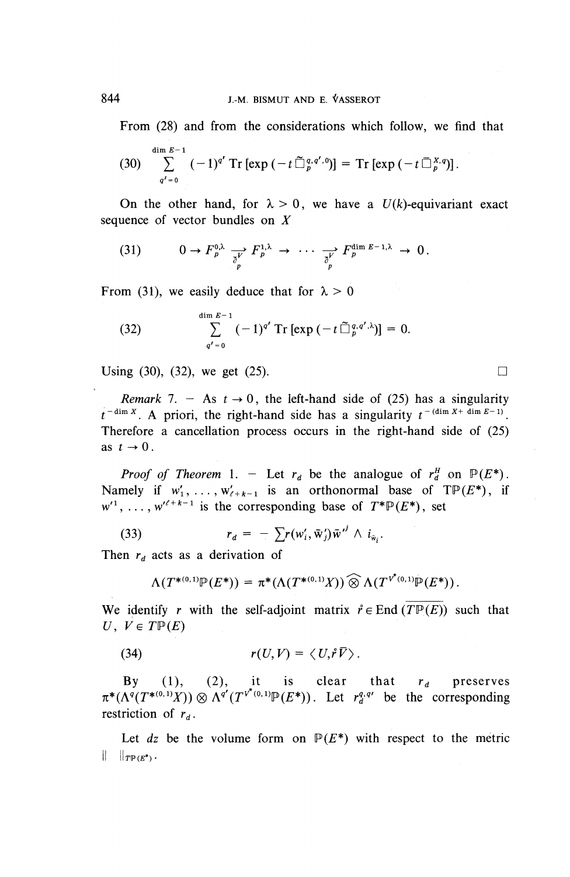From (28) and from the considerations which follow, we find that

$$
(30) \sum_{q'=0}^{\dim E-1} (-1)^{q'} \operatorname{Tr} \left[ \exp \left( -t \widetilde{\Box}_{p}^{q,q',0} \right) \right] = \operatorname{Tr} \left[ \exp \left( -t \widetilde{\Box}_{p}^{X,q} \right) \right].
$$

On the other hand, for  $\lambda > 0$ , we have a  $U(k)$ -equivariant exact sequence of vector bundles on *X*

(31) 
$$
0 \to F_p^{0,\lambda} \underset{\partial_p}{\longrightarrow} F_p^{1,\lambda} \to \cdots \underset{\partial_p}{\longrightarrow} F_p^{\dim E-1,\lambda} \to 0.
$$

From (31), we easily deduce that for  $\lambda > 0$ 

(32) 
$$
\sum_{q'=0}^{\dim E-1} (-1)^{q'} \operatorname{Tr} [\exp(-t \tilde{\Box}_{p}^{q,q',\lambda})] = 0.
$$

Using (30), (32), we get (25).

*Remark* 7. – As  $t \to 0$ , the left-hand side of (25) has a singularity *Remark 1.*  $-$  As  $t \to 0$ , the left-hand side of (25) has a singularity  $t^{- (\dim X + \dim E - 1)}$ . Therefore a cancellation process occurs in the right-hand side of (25) as  $t \rightarrow 0$ .

*Proof of Theorem* 1. – Let  $r_d$  be the analogue of  $r_d^H$  on  $P(E^*)$ . Namely if  $w'_1, \ldots, w'_{\ell+k-1}$  is an orthonormal base of TP( $E^*$ ), if  $w'$ <sup>1</sup>, ...,  $w'^{\ell+k-1}$  is the corresponding base of  $T^*\mathbb{P}(E^*)$ , set

(33) 
$$
r_d = -\sum r(w'_i, \bar{w}'_j) \bar{w}^{i'} \wedge i_{\bar{w}_i}.
$$

Then  $r_d$  acts as a derivation of

$$
\Lambda(T^{*(0,1)}\mathbb{P}(E^*)) = \pi^*(\Lambda(T^{*(0,1)}X)) \widehat{\otimes} \Lambda(T^{\nu^*(0,1)}\mathbb{P}(E^*))
$$

We identify r with the self-adjoint matrix  $\mathring{r} \in$  End  $(\overline{T} \mathbb{P}(E))$  such that  $U, V \in T \mathbb{P}(E)$ 

(34) 
$$
r(U,V) = \langle U,\mathbf{\hat{r}}\overline{V}\rangle.
$$

By (1), (2), it is clear that  $r_d$  preserves  $\pi^*(\Lambda^q(T^{*(0,1)}X))\otimes \Lambda^{q'}(T^{v^*(0,1)}\mathbb{P}(E^*))$ . Let  $r_q^{q,q'}$  be the corresponding restriction of  $r_d$ .

Let  $dz$  be the volume form on  $P(E^*)$  with respect to the metric  $\|\quad\|_{T}\mathbb{P}(E^*)$ .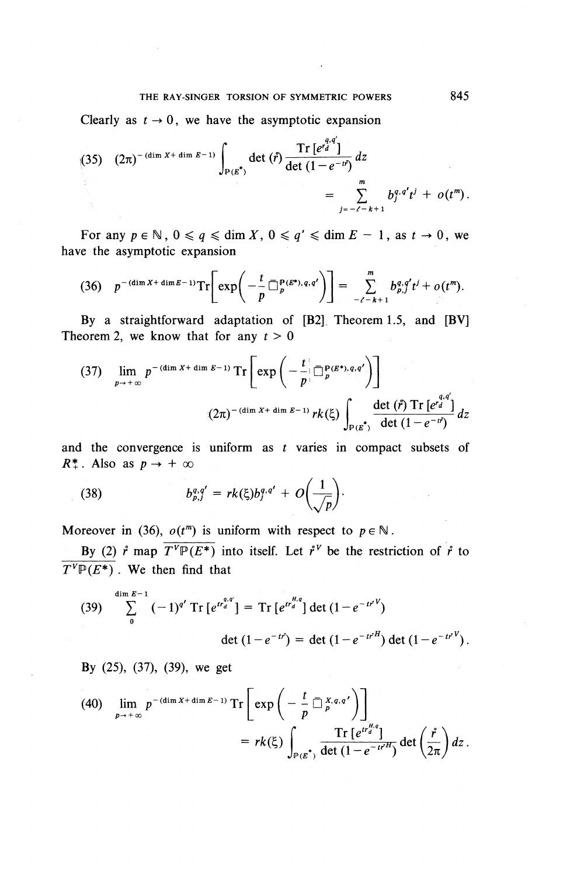#### THE RAY-SINGER TORSION OF SYMMETRIC POWERS 845

Clearly as  $t \to 0$ , we have the asymptotic expansion

(35) 
$$
(2\pi)^{-(\dim X + \dim E - 1)} \int_{P(E^*)} \det (f^{\circ}) \frac{\operatorname{Tr} [e^{r_d^{q,q}}]}{\det (1 - e^{-tr})} dz
$$
  

$$
= \sum_{j=-\ell-k+1}^{m} b_j^{q,q'} t^j + o(t^m).
$$

For any  $p \in \mathbb{N}$ ,  $0 \le q \le \dim X$ ,  $0 \le q' \le \dim E - 1$ , as  $t \to 0$ , we have the asymptotic expansion

$$
(36) \quad p^{-(\dim X + \dim E - 1)} \text{Tr} \left[ \exp \left( - \frac{t}{p} \, \Box_p^{\mathbf{p}(\mathcal{E}^*),q,q'} \right) \right] = \sum_{-\ell = k+1}^m b_{p,j}^{q,q'} t^j + o(t^m).
$$

By a straightforward adaptation of [B2]. Theorem 1.5, and [BV] Theorem 2, we know that for any  $t > 0$ 

$$
(37) \quad \lim_{p \to +\infty} p^{-(\dim X + \dim E - 1)} \operatorname{Tr} \left[ \exp \left( -\frac{t}{p} \left[ \frac{p}{p} e^{k}, q, q' \right] \right) \right]
$$
\n
$$
(2\pi)^{-(\dim X + \dim E - 1)} r k(\xi) \int_{\mathbb{P}(E^*)} \frac{\det (\hat{r}) \operatorname{Tr} \left[ e^{q}, q' \right]}{\det (1 - e^{-t^2})} dz
$$

and the convergence is uniform as *t* varies in compact subsets of  $R^*$ . Also as  $p \to +\infty$ 

(38) 
$$
b_{p,j}^{q,q'}=rk(\xi)b_j^{q,q'}+O\bigg(\frac{1}{\sqrt{p}}\bigg).
$$

Moreover in (36),  $o(t^m)$  is uniform with respect to  $p \in \mathbb{N}$ .

By (2)  $\mathbf{\hat{r}}$  map  $\overline{T^{\nu}P(E^*)}$  into itself. Let  $\mathbf{\hat{r}}^{\nu}$  be the restriction of  $\mathbf{\hat{r}}$  to  $\overline{T^V\mathbb{P}(E^*)}$ . We then find that

(39) 
$$
\sum_{0}^{\dim E - 1} (-1)^{q'} \operatorname{Tr} \left[ e^{t r_d^{q,q}} \right] = \operatorname{Tr} \left[ e^{t r_d^{H,q}} \right] \det \left( 1 - e^{-t r^V} \right)
$$

$$
\det \left( 1 - e^{-t r} \right) = \det \left( 1 - e^{-t r^H} \right) \det \left( 1 - e^{-t r^V} \right).
$$

**By** (25), (37), **(39), we get**

(40) 
$$
\lim_{p \to +\infty} p^{-(\dim X + \dim E - 1)} \operatorname{Tr} \left[ \exp \left( -\frac{t}{p} \overline{\square}_{p}^{X, q, q'} \right) \right] = rk(\xi) \int_{\mathbb{P}(E^*)} \frac{\operatorname{Tr} \left[ e^{tr_{d}^{H,q}} \right]}{\det \left( 1 - e^{-tr^{H}} \right)} \det \left( \frac{\hat{r}}{2\pi} \right) dz.
$$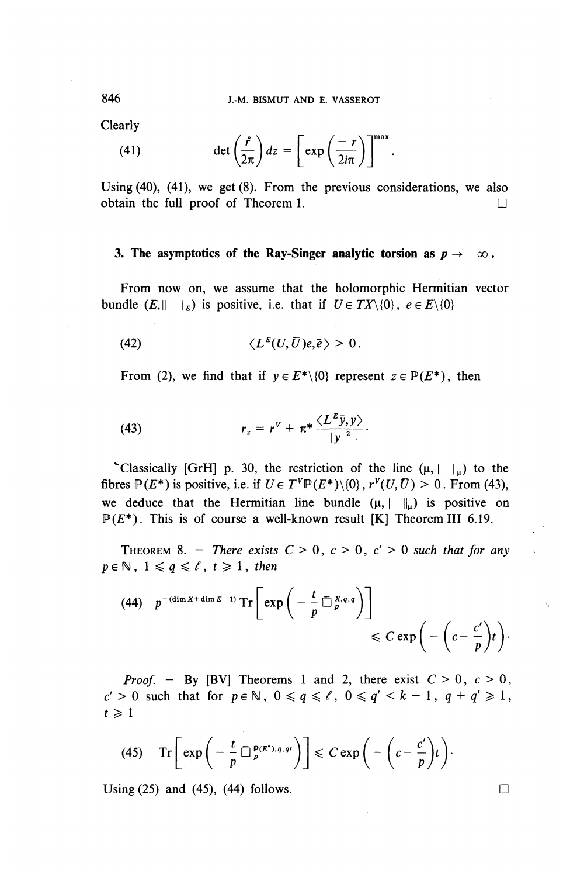Clearly

$$
\begin{aligned}\n\text{arity} \\
(41) \quad \text{det}\left(\frac{\dot{r}}{2\pi}\right)dz = \left[\exp\left(\frac{-r}{2i\pi}\right)\right]^{max}.\n\end{aligned}
$$

Using (40), (41), we get (8). From the previous considerations, we also obtain the full proof of Theorem 1.  $\Box$ 

#### **3. The asymptotics of the Ray-Singer analytic torsion as**  $p \to \infty$ **.**

From now on, we assume that the holomorphic Hermitian vector bundle  $(E,|| \t||_E)$  is positive, i.e. that if  $U \in TX\{0\}$ ,  $e \in E\{0\}$ 

(42) 
$$
\langle L^{E}(U,\bar{U})e,\bar{e}\rangle > 0.
$$

From (2), we find that if  $y \in E^*\backslash\{0\}$  represent  $z \in P(E^*)$ , then

(43) 
$$
r_z = r^V + \pi^* \frac{\langle L^E \bar{y}, y \rangle}{|y|^2}.
$$

"Classically [GrH] p. 30, the restriction of the line  $(\mu, \|\cdot\|_{\mu})$  to the fibres  $\mathbb{P}(E^*)$  is positive, i.e. if  $U \in T^V \mathbb{P}(E^*) \setminus \{0\}$ ,  $r^V(U, \overline{U}) > 0$ . From (43), we deduce that the Hermitian line bundle  $(\mu,||\cdot||_{\mu})$  is positive on  $P(E^*)$ . This is of course a well-known result [K] Theorem III 6.19.

THEOREM 8. - *There exists*  $C > 0$ ,  $c > 0$ ,  $c' > 0$  such that for any  $p \in \mathbb{N}$ ,  $1 \leqslant q \leqslant \ell$ ,  $t \geqslant 1$ , then

(44) 
$$
p^{-(\dim X + \dim E - 1)} \operatorname{Tr} \left[ \exp \left( -\frac{t}{p} \overline{\square}_{p}^{X,q,q} \right) \right] \leq C \exp \left( -\left( c - \frac{c'}{p} \right) t \right).
$$

*Proof.* - By [BV] Theorems 1 and 2, there exist  $C > 0$ ,  $c > 0$ ,  $c' > 0$  such that for  $p \in \mathbb{N}$ ,  $0 \le q \le \ell$ ,  $0 \le q' < k - 1$ ,  $q + q' \ge 1$ ,  $t \geqslant 1$ 

(45) 
$$
\operatorname{Tr}\left[\exp\left(-\frac{t}{p}\ \overline{\Box}_{p}^{p(E^*)},q,q'\right)\right] \leq C \exp\left(-\left(c-\frac{c'}{p}\right)t\right).
$$

Using (25) and (45), (44) follows.  $\Box$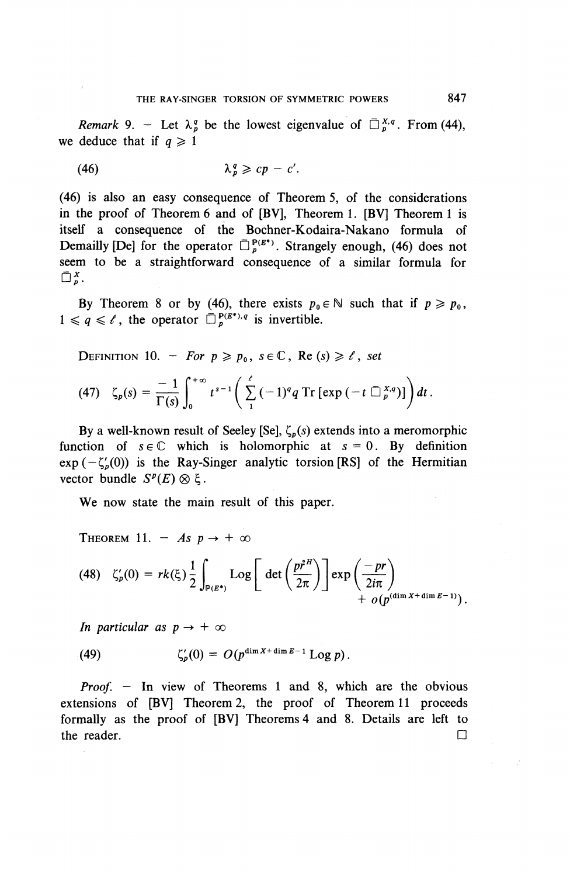*Remark* 9. – Let  $\lambda_p^q$  be the lowest eigenvalue of  $\Box_p^{x,q}$ . From (44), we deduce that if  $q \ge 1$ 

$$
\lambda_p^q \geqslant cp - c'.
$$

(46) is also an easy consequence of Theorem 5, of the considerations in the proof of Theorem 6 and of [BV], Theorem 1. [BV] Theorem 1 is itself a consequence of the Bochner-Kodaira-Nakano formula of Demailly [De] for the operator  $\overline{D}^{\mathbf{p}(E^*)}_n$ . Strangely enough, (46) does not seem to be a straightforward consequence of a similar formula for  $\Box_n^X$ .

By Theorem 8 or by (46), there exists  $p_0 \in \mathbb{N}$  such that if  $p \geq p_0$ ,  $1 \leq q \leq \ell$ , the operator  $\bar{\Box}_n^{p(\mathcal{E}^*) , q}$  is invertible.

**DEFINITION** 10. – *For*  $p \geq p_0$ ,  $s \in \mathbb{C}$ , **Re**  $(s) \geq t$ , *set* 

$$
(47) \quad \zeta_p(s) = \frac{-1}{\Gamma(s)} \int_0^{+\infty} t^{s-1} \left( \sum_{1}^{\ell} (-1)^q q \operatorname{Tr} \left[ \exp \left( -t \; \overline{\Box}_{p}^{X,q} \right) \right] \right) dt \, .
$$

By a well-known result of Seeley [Se],  $\zeta_p(s)$  extends into a meromorphic function of  $s \in \mathbb{C}$  which is holomorphic at  $s = 0$ . By definition  $exp(-\zeta_{p}'(0))$  is the Ray-Singer analytic torsion [RS] of the Hermitian vector bundle  $S^p(E) \otimes \xi$ .

**We** now state the main result of this paper.

THEOREM 11. – As  $p \to +\infty$ 

$$
(48) \quad \zeta_p'(0) = rk(\xi) \frac{1}{2} \int_{P(E^*)} \text{Log}\left[\det\left(\frac{p^{*H}}{2\pi}\right)\right] \exp\left(\frac{-pr}{2i\pi}\right) + o(p^{(\dim X + \dim E - 1)}).
$$

*In particular as*  $p \rightarrow +\infty$ 

(49) 
$$
\zeta_p'(0) = O(p^{\dim X + \dim E - 1} \log p).
$$

*Proof. —* In view of Theorems 1 and 8, which are the obvious extensions of [BV] Theorem 2, the proof of Theorem 11 proceeds formally as the proof of [BV] Theorems 4 and 8. Details are left to the reader.